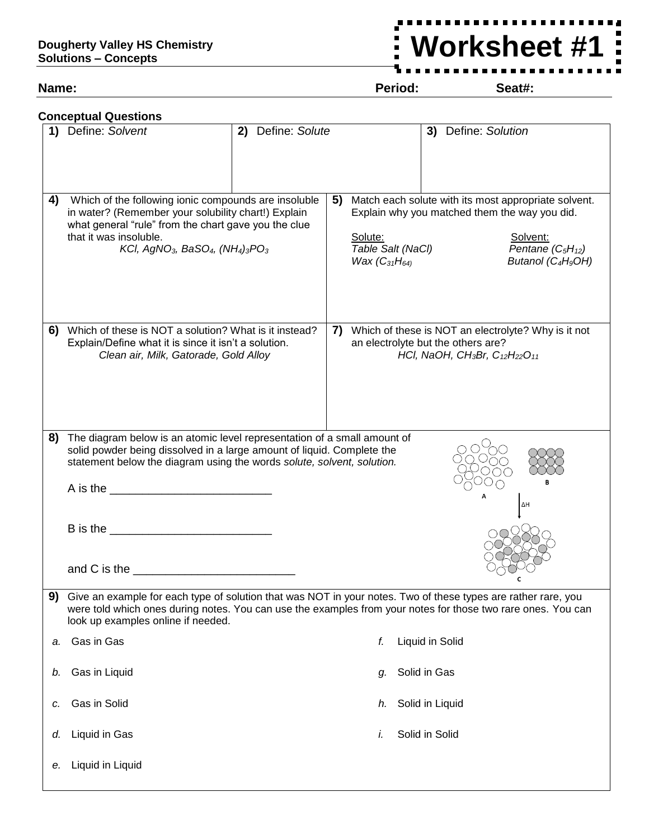**Worksheet #1**

**Name: Period: Seat#:**

 $\frac{1}{2}$ 

|    | <b>Conceptual Questions</b>                                                                                                                                                                                                                                                                   |                   |    |                                                                                                                                                                                                                                                        |                |                     |  |  |  |
|----|-----------------------------------------------------------------------------------------------------------------------------------------------------------------------------------------------------------------------------------------------------------------------------------------------|-------------------|----|--------------------------------------------------------------------------------------------------------------------------------------------------------------------------------------------------------------------------------------------------------|----------------|---------------------|--|--|--|
|    | 1) Define: Solvent                                                                                                                                                                                                                                                                            | 2) Define: Solute |    |                                                                                                                                                                                                                                                        |                | 3) Define: Solution |  |  |  |
| 4) | Which of the following ionic compounds are insoluble<br>in water? (Remember your solubility chart!) Explain<br>what general "rule" from the chart gave you the clue<br>that it was insoluble.<br>KCI, AgNO <sub>3</sub> , BaSO <sub>4</sub> , (NH <sub>4</sub> ) <sub>3</sub> PO <sub>3</sub> |                   | 5) | Match each solute with its most appropriate solvent.<br>Explain why you matched them the way you did.<br>Solute:<br>Solvent:<br>Table Salt (NaCl)<br>Pentane $(C_5H_{12})$<br><i>Wax</i> $(C_{31}H_{64}$<br>Butanol (C <sub>4</sub> H <sub>9</sub> OH) |                |                     |  |  |  |
| 6) | Which of these is NOT a solution? What is it instead?<br>Explain/Define what it is since it isn't a solution.<br>Clean air, Milk, Gatorade, Gold Alloy                                                                                                                                        |                   |    | Which of these is NOT an electrolyte? Why is it not<br>7)<br>an electrolyte but the others are?<br>HCl, NaOH, CH <sub>3</sub> Br, C <sub>12</sub> H <sub>22</sub> O <sub>11</sub>                                                                      |                |                     |  |  |  |
| 8) | The diagram below is an atomic level representation of a small amount of<br>solid powder being dissolved in a large amount of liquid. Complete the<br>statement below the diagram using the words solute, solvent, solution.<br>ΔΗ                                                            |                   |    |                                                                                                                                                                                                                                                        |                |                     |  |  |  |
| 9) | Give an example for each type of solution that was NOT in your notes. Two of these types are rather rare, you<br>were told which ones during notes. You can use the examples from your notes for those two rare ones. You can<br>look up examples online if needed.                           |                   |    |                                                                                                                                                                                                                                                        |                |                     |  |  |  |
| a. | Gas in Gas                                                                                                                                                                                                                                                                                    |                   |    | f.                                                                                                                                                                                                                                                     |                | Liquid in Solid     |  |  |  |
| b. | Gas in Liquid                                                                                                                                                                                                                                                                                 |                   |    | g.                                                                                                                                                                                                                                                     | Solid in Gas   |                     |  |  |  |
| с. | Gas in Solid                                                                                                                                                                                                                                                                                  |                   |    | h.                                                                                                                                                                                                                                                     |                | Solid in Liquid     |  |  |  |
| d. | Liquid in Gas                                                                                                                                                                                                                                                                                 |                   |    | İ.                                                                                                                                                                                                                                                     | Solid in Solid |                     |  |  |  |
| е. | Liquid in Liquid                                                                                                                                                                                                                                                                              |                   |    |                                                                                                                                                                                                                                                        |                |                     |  |  |  |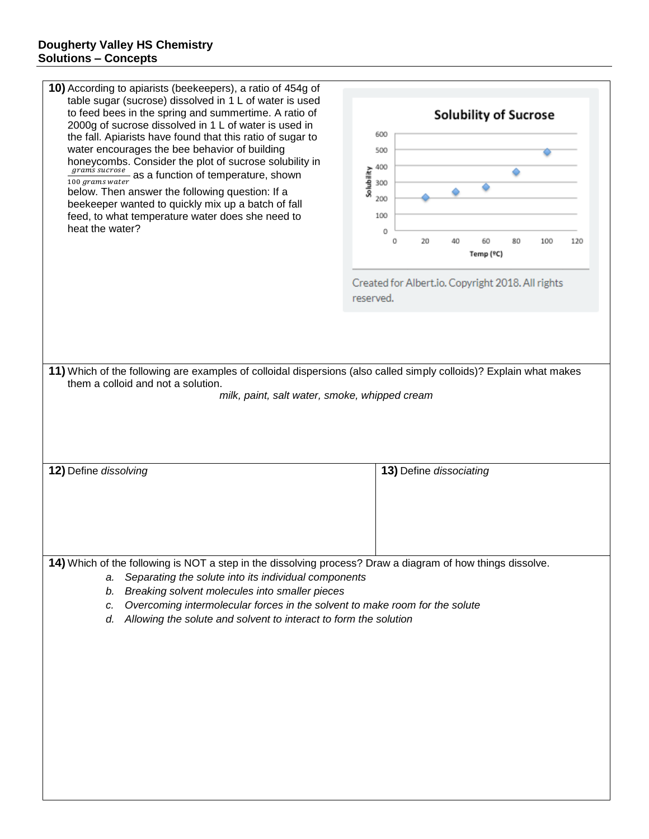| 10) According to apiarists (beekeepers), a ratio of 454g of<br>table sugar (sucrose) dissolved in 1 L of water is used<br>to feed bees in the spring and summertime. A ratio of<br>2000g of sucrose dissolved in 1 L of water is used in<br>the fall. Apiarists have found that this ratio of sugar to<br>water encourages the bee behavior of building<br>honeycombs. Consider the plot of sucrose solubility in<br>$\frac{grams}{100 grams\ water}$ as a function of temperature, shown<br>below. Then answer the following question: If a<br>beekeeper wanted to quickly mix up a batch of fall<br>feed, to what temperature water does she need to | <b>Solubility of Sucrose</b><br>600<br>500<br>400<br>Solubility<br>300<br>200<br>100 |  |  |  |  |  |  |  |
|--------------------------------------------------------------------------------------------------------------------------------------------------------------------------------------------------------------------------------------------------------------------------------------------------------------------------------------------------------------------------------------------------------------------------------------------------------------------------------------------------------------------------------------------------------------------------------------------------------------------------------------------------------|--------------------------------------------------------------------------------------|--|--|--|--|--|--|--|
| heat the water?                                                                                                                                                                                                                                                                                                                                                                                                                                                                                                                                                                                                                                        | 0<br>80<br>20<br>40<br>60<br>100<br>Ō<br>120<br>Temp (°C)                            |  |  |  |  |  |  |  |
|                                                                                                                                                                                                                                                                                                                                                                                                                                                                                                                                                                                                                                                        | Created for Albert.io. Copyright 2018. All rights<br>reserved.                       |  |  |  |  |  |  |  |
|                                                                                                                                                                                                                                                                                                                                                                                                                                                                                                                                                                                                                                                        |                                                                                      |  |  |  |  |  |  |  |
| 11) Which of the following are examples of colloidal dispersions (also called simply colloids)? Explain what makes<br>them a colloid and not a solution.<br>milk, paint, salt water, smoke, whipped cream                                                                                                                                                                                                                                                                                                                                                                                                                                              |                                                                                      |  |  |  |  |  |  |  |
| 12) Define dissolving                                                                                                                                                                                                                                                                                                                                                                                                                                                                                                                                                                                                                                  | 13) Define dissociating                                                              |  |  |  |  |  |  |  |
|                                                                                                                                                                                                                                                                                                                                                                                                                                                                                                                                                                                                                                                        |                                                                                      |  |  |  |  |  |  |  |
| 14) Which of the following is NOT a step in the dissolving process? Draw a diagram of how things dissolve.<br>Separating the solute into its individual components<br>a.<br>Breaking solvent molecules into smaller pieces<br>b.<br>Overcoming intermolecular forces in the solvent to make room for the solute<br>c.<br>Allowing the solute and solvent to interact to form the solution<br>d.                                                                                                                                                                                                                                                        |                                                                                      |  |  |  |  |  |  |  |
|                                                                                                                                                                                                                                                                                                                                                                                                                                                                                                                                                                                                                                                        |                                                                                      |  |  |  |  |  |  |  |